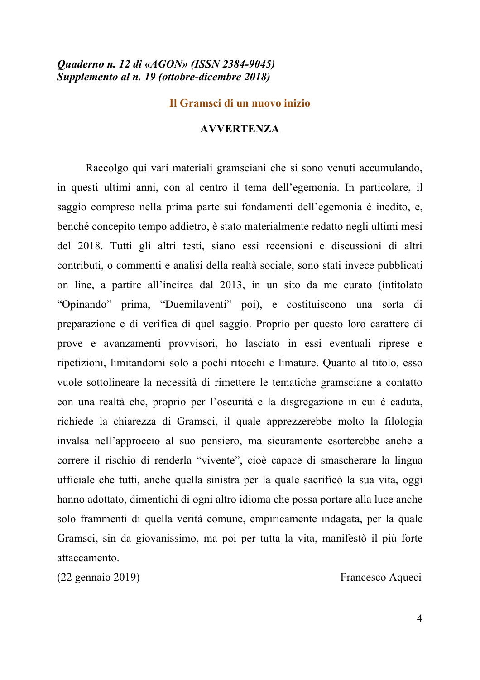# *Quaderno n. 12 di «AGON» (ISSN 2384-9045) Supplemento al n. 19 (ottobre-dicembre 2018)*

#### **Il Gramsci di un nuovo inizio**

#### **AVVERTENZA**

Raccolgo qui vari materiali gramsciani che si sono venuti accumulando, in questi ultimi anni, con al centro il tema dell'egemonia. In particolare, il saggio compreso nella prima parte sui fondamenti dell'egemonia è inedito, e, benché concepito tempo addietro, è stato materialmente redatto negli ultimi mesi del 2018. Tutti gli altri testi, siano essi recensioni e discussioni di altri contributi, o commenti e analisi della realtà sociale, sono stati invece pubblicati on line, a partire all'incirca dal 2013, in un sito da me curato (intitolato "Opinando" prima, "Duemilaventi" poi), e costituiscono una sorta di preparazione e di verifica di quel saggio. Proprio per questo loro carattere di prove e avanzamenti provvisori, ho lasciato in essi eventuali riprese e ripetizioni, limitandomi solo a pochi ritocchi e limature. Quanto al titolo, esso vuole sottolineare la necessità di rimettere le tematiche gramsciane a contatto con una realtà che, proprio per l'oscurità e la disgregazione in cui è caduta, richiede la chiarezza di Gramsci, il quale apprezzerebbe molto la filologia invalsa nell'approccio al suo pensiero, ma sicuramente esorterebbe anche a correre il rischio di renderla "vivente", cioè capace di smascherare la lingua ufficiale che tutti, anche quella sinistra per la quale sacrificò la sua vita, oggi hanno adottato, dimentichi di ogni altro idioma che possa portare alla luce anche solo frammenti di quella verità comune, empiricamente indagata, per la quale Gramsci, sin da giovanissimo, ma poi per tutta la vita, manifestò il più forte attaccamento.

(22 gennaio 2019) Francesco Aqueci